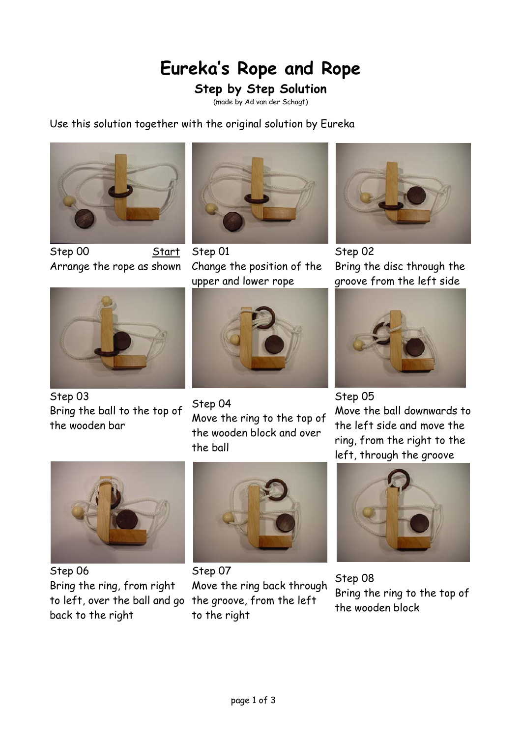## **Eureka's Rope and Rope**

## **Step by Step Solution**

(made by Ad van der Schagt)

Use this solution together with the original solution by Eureka



Step 00 Start Arrange the rope as shown



Step 01 Change the position of the upper and lower rope



Step 02 Bring the disc through the groove from the left side



Step 03 Bring the ball to the top of the wooden bar



Step 04 Move the ring to the top of the wooden block and over the ball



Step 05 Move the ball downwards to the left side and move the ring, from the right to the left, through the groove



Step 06 Bring the ring, from right to left, over the ball and go the groove, from the left back to the right



Step 07 Move the ring back through to the right



Step 08 Bring the ring to the top of the wooden block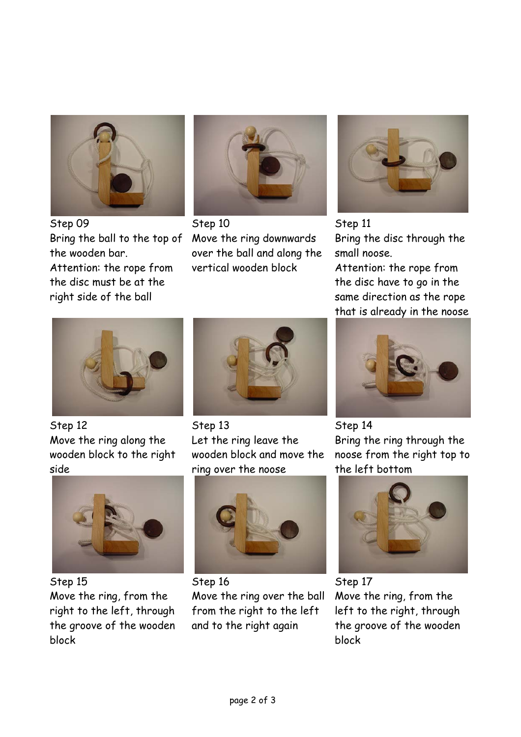

Step 09 Bring the ball to the top of the wooden bar. Attention: the rope from the disc must be at the right side of the ball



Step 10 Move the ring downwards over the ball and along the vertical wooden block



Step 11 Bring the disc through the small noose.

Attention: the rope from the disc have to go in the same direction as the rope that is already in the noose



Step 12 Move the ring along the wooden block to the right side



Step 15 Move the ring, from the right to the left, through the groove of the wooden block



Step 13 Let the ring leave the wooden block and move the ring over the noose



Step 16 Move the ring over the ball from the right to the left and to the right again



Step 14 Bring the ring through the noose from the right top to the left bottom



Step 17 Move the ring, from the left to the right, through the groove of the wooden block